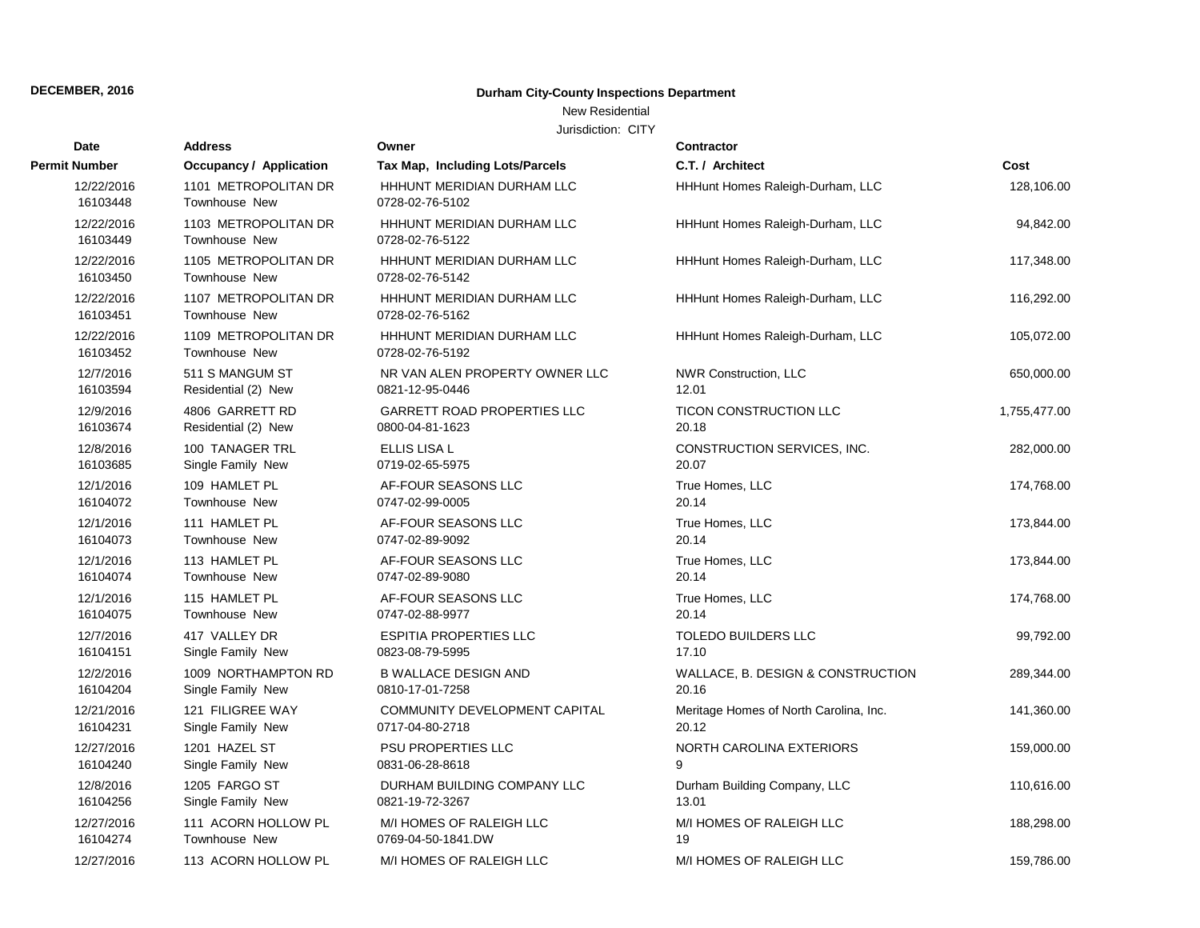# **Durham City-County Inspections Department**

### New Residential

| Date                   | <b>Address</b>                               | Owner                                         | <b>Contractor</b>                      |              |
|------------------------|----------------------------------------------|-----------------------------------------------|----------------------------------------|--------------|
| Permit Number          | <b>Occupancy / Application</b>               | Tax Map, Including Lots/Parcels               | C.T. / Architect                       | Cost         |
| 12/22/2016<br>16103448 | 1101 METROPOLITAN DR<br>Townhouse New        | HHHUNT MERIDIAN DURHAM LLC<br>0728-02-76-5102 | HHHunt Homes Raleigh-Durham, LLC       | 128,106.00   |
| 12/22/2016<br>16103449 | 1103 METROPOLITAN DR<br><b>Townhouse New</b> | HHHUNT MERIDIAN DURHAM LLC<br>0728-02-76-5122 | HHHunt Homes Raleigh-Durham, LLC       | 94,842.00    |
| 12/22/2016<br>16103450 | 1105 METROPOLITAN DR<br><b>Townhouse New</b> | HHHUNT MERIDIAN DURHAM LLC<br>0728-02-76-5142 | HHHunt Homes Raleigh-Durham, LLC       | 117,348.00   |
| 12/22/2016<br>16103451 | 1107 METROPOLITAN DR<br>Townhouse New        | HHHUNT MERIDIAN DURHAM LLC<br>0728-02-76-5162 | HHHunt Homes Raleigh-Durham, LLC       | 116,292.00   |
| 12/22/2016<br>16103452 | 1109 METROPOLITAN DR<br><b>Townhouse New</b> | HHHUNT MERIDIAN DURHAM LLC<br>0728-02-76-5192 | HHHunt Homes Raleigh-Durham, LLC       | 105,072.00   |
| 12/7/2016              | 511 S MANGUM ST                              | NR VAN ALEN PROPERTY OWNER LLC                | <b>NWR Construction, LLC</b>           | 650,000.00   |
| 16103594               | Residential (2) New                          | 0821-12-95-0446                               | 12.01                                  |              |
| 12/9/2016              | 4806 GARRETT RD                              | <b>GARRETT ROAD PROPERTIES LLC</b>            | TICON CONSTRUCTION LLC                 | 1,755,477.00 |
| 16103674               | Residential (2) New                          | 0800-04-81-1623                               | 20.18                                  |              |
| 12/8/2016              | <b>100 TANAGER TRL</b>                       | ELLIS LISA L                                  | CONSTRUCTION SERVICES, INC.            | 282,000.00   |
| 16103685               | Single Family New                            | 0719-02-65-5975                               | 20.07                                  |              |
| 12/1/2016              | 109 HAMLET PL                                | AF-FOUR SEASONS LLC                           | True Homes, LLC                        | 174,768.00   |
| 16104072               | Townhouse New                                | 0747-02-99-0005                               | 20.14                                  |              |
| 12/1/2016              | 111 HAMLET PL                                | AF-FOUR SEASONS LLC                           | True Homes, LLC                        | 173,844.00   |
| 16104073               | Townhouse New                                | 0747-02-89-9092                               | 20.14                                  |              |
| 12/1/2016              | 113 HAMLET PL                                | AF-FOUR SEASONS LLC                           | True Homes, LLC                        | 173,844.00   |
| 16104074               | Townhouse New                                | 0747-02-89-9080                               | 20.14                                  |              |
| 12/1/2016              | 115 HAMLET PL                                | AF-FOUR SEASONS LLC                           | True Homes, LLC                        | 174,768.00   |
| 16104075               | Townhouse New                                | 0747-02-88-9977                               | 20.14                                  |              |
| 12/7/2016              | 417 VALLEY DR                                | <b>ESPITIA PROPERTIES LLC</b>                 | TOLEDO BUILDERS LLC                    | 99,792.00    |
| 16104151               | Single Family New                            | 0823-08-79-5995                               | 17.10                                  |              |
| 12/2/2016              | 1009 NORTHAMPTON RD                          | <b>B WALLACE DESIGN AND</b>                   | WALLACE, B. DESIGN & CONSTRUCTION      | 289,344.00   |
| 16104204               | Single Family New                            | 0810-17-01-7258                               | 20.16                                  |              |
| 12/21/2016             | 121 FILIGREE WAY                             | COMMUNITY DEVELOPMENT CAPITAL                 | Meritage Homes of North Carolina, Inc. | 141,360.00   |
| 16104231               | Single Family New                            | 0717-04-80-2718                               | 20.12                                  |              |
| 12/27/2016             | 1201 HAZEL ST                                | PSU PROPERTIES LLC                            | NORTH CAROLINA EXTERIORS               | 159,000.00   |
| 16104240               | Single Family New                            | 0831-06-28-8618                               | 9                                      |              |
| 12/8/2016              | 1205 FARGO ST                                | DURHAM BUILDING COMPANY LLC                   | Durham Building Company, LLC           | 110,616.00   |
| 16104256               | Single Family New                            | 0821-19-72-3267                               | 13.01                                  |              |
| 12/27/2016             | 111 ACORN HOLLOW PL                          | M/I HOMES OF RALEIGH LLC                      | M/I HOMES OF RALEIGH LLC               | 188,298.00   |
| 16104274               | Townhouse New                                | 0769-04-50-1841.DW                            | 19                                     |              |
| 12/27/2016             | 113 ACORN HOLLOW PL                          | M/I HOMES OF RALEIGH LLC                      | M/I HOMES OF RALEIGH LLC               | 159,786.00   |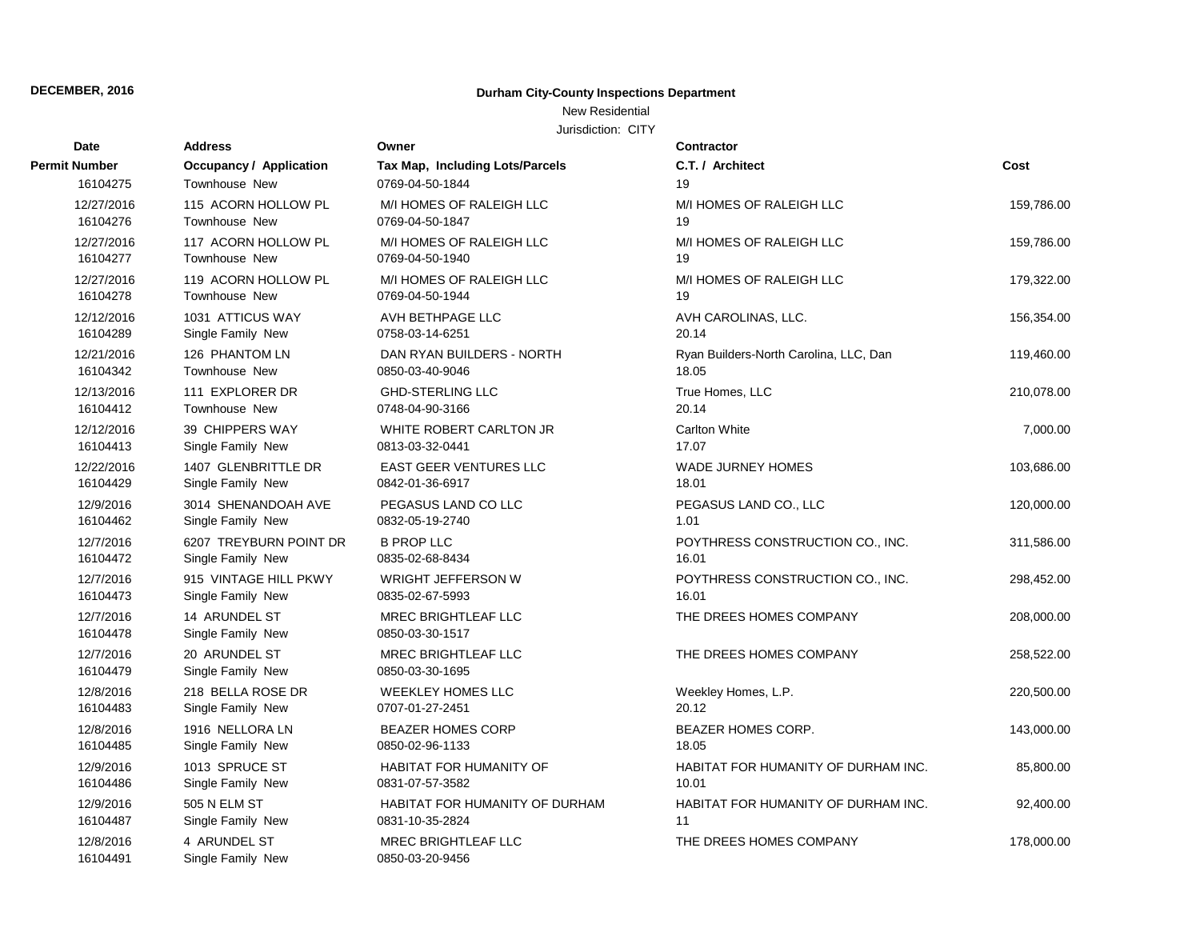# **Durham City-County Inspections Department**

# New Residential

| Date                  | <b>Address</b>                     | Owner                                         | <b>Contractor</b>                      |            |
|-----------------------|------------------------------------|-----------------------------------------------|----------------------------------------|------------|
| <b>Permit Number</b>  | <b>Occupancy / Application</b>     | Tax Map, Including Lots/Parcels               | C.T. / Architect                       | Cost       |
| 16104275              | Townhouse New                      | 0769-04-50-1844                               | 19                                     |            |
| 12/27/2016            | 115 ACORN HOLLOW PL                | M/I HOMES OF RALEIGH LLC                      | M/I HOMES OF RALEIGH LLC               | 159,786.00 |
| 16104276              | Townhouse New                      | 0769-04-50-1847                               | 19                                     |            |
| 12/27/2016            | 117 ACORN HOLLOW PL                | M/I HOMES OF RALEIGH LLC                      | M/I HOMES OF RALEIGH LLC               | 159,786.00 |
| 16104277              | <b>Townhouse New</b>               | 0769-04-50-1940                               | 19                                     |            |
| 12/27/2016            | 119 ACORN HOLLOW PL                | M/I HOMES OF RALEIGH LLC                      | M/I HOMES OF RALEIGH LLC               | 179,322.00 |
| 16104278              | <b>Townhouse New</b>               | 0769-04-50-1944                               | 19                                     |            |
| 12/12/2016            | 1031 ATTICUS WAY                   | AVH BETHPAGE LLC                              | AVH CAROLINAS, LLC.                    | 156,354.00 |
| 16104289              | Single Family New                  | 0758-03-14-6251                               | 20.14                                  |            |
| 12/21/2016            | 126 PHANTOM LN                     | DAN RYAN BUILDERS - NORTH                     | Ryan Builders-North Carolina, LLC, Dan | 119,460.00 |
| 16104342              | Townhouse New                      | 0850-03-40-9046                               | 18.05                                  |            |
| 12/13/2016            | 111 EXPLORER DR                    | <b>GHD-STERLING LLC</b>                       | True Homes, LLC                        | 210,078.00 |
| 16104412              | Townhouse New                      | 0748-04-90-3166                               | 20.14                                  |            |
| 12/12/2016            | 39 CHIPPERS WAY                    | WHITE ROBERT CARLTON JR                       | <b>Carlton White</b>                   | 7,000.00   |
| 16104413              | Single Family New                  | 0813-03-32-0441                               | 17.07                                  |            |
| 12/22/2016            | 1407 GLENBRITTLE DR                | <b>EAST GEER VENTURES LLC</b>                 | <b>WADE JURNEY HOMES</b>               | 103,686.00 |
| 16104429              | Single Family New                  | 0842-01-36-6917                               | 18.01                                  |            |
| 12/9/2016             | 3014 SHENANDOAH AVE                | PEGASUS LAND CO LLC                           | PEGASUS LAND CO., LLC                  | 120,000.00 |
| 16104462              | Single Family New                  | 0832-05-19-2740                               | 1.01                                   |            |
| 12/7/2016             | 6207 TREYBURN POINT DR             | <b>B PROP LLC</b>                             | POYTHRESS CONSTRUCTION CO., INC.       | 311,586.00 |
| 16104472              | Single Family New                  | 0835-02-68-8434                               | 16.01                                  |            |
| 12/7/2016             | 915 VINTAGE HILL PKWY              | WRIGHT JEFFERSON W                            | POYTHRESS CONSTRUCTION CO., INC.       | 298,452.00 |
| 16104473              | Single Family New                  | 0835-02-67-5993                               | 16.01                                  |            |
| 12/7/2016<br>16104478 | 14 ARUNDEL ST<br>Single Family New | MREC BRIGHTLEAF LLC<br>0850-03-30-1517        | THE DREES HOMES COMPANY                | 208,000.00 |
| 12/7/2016<br>16104479 | 20 ARUNDEL ST<br>Single Family New | MREC BRIGHTLEAF LLC<br>0850-03-30-1695        | THE DREES HOMES COMPANY                | 258,522.00 |
| 12/8/2016             | 218 BELLA ROSE DR                  | <b>WEEKLEY HOMES LLC</b>                      | Weekley Homes, L.P.                    | 220,500.00 |
| 16104483              | Single Family New                  | 0707-01-27-2451                               | 20.12                                  |            |
| 12/8/2016             | 1916 NELLORA LN                    | <b>BEAZER HOMES CORP</b>                      | <b>BEAZER HOMES CORP.</b>              | 143,000.00 |
| 16104485              | Single Family New                  | 0850-02-96-1133                               | 18.05                                  |            |
| 12/9/2016             | 1013 SPRUCE ST                     | HABITAT FOR HUMANITY OF                       | HABITAT FOR HUMANITY OF DURHAM INC.    | 85,800.00  |
| 16104486              | Single Family New                  | 0831-07-57-3582                               | 10.01                                  |            |
| 12/9/2016             | 505 N ELM ST                       | HABITAT FOR HUMANITY OF DURHAM                | HABITAT FOR HUMANITY OF DURHAM INC.    | 92,400.00  |
| 16104487              | Single Family New                  | 0831-10-35-2824                               | 11                                     |            |
| 12/8/2016<br>16104491 | 4 ARUNDEL ST<br>Single Family New  | <b>MREC BRIGHTLEAF LLC</b><br>0850-03-20-9456 | THE DREES HOMES COMPANY                | 178,000.00 |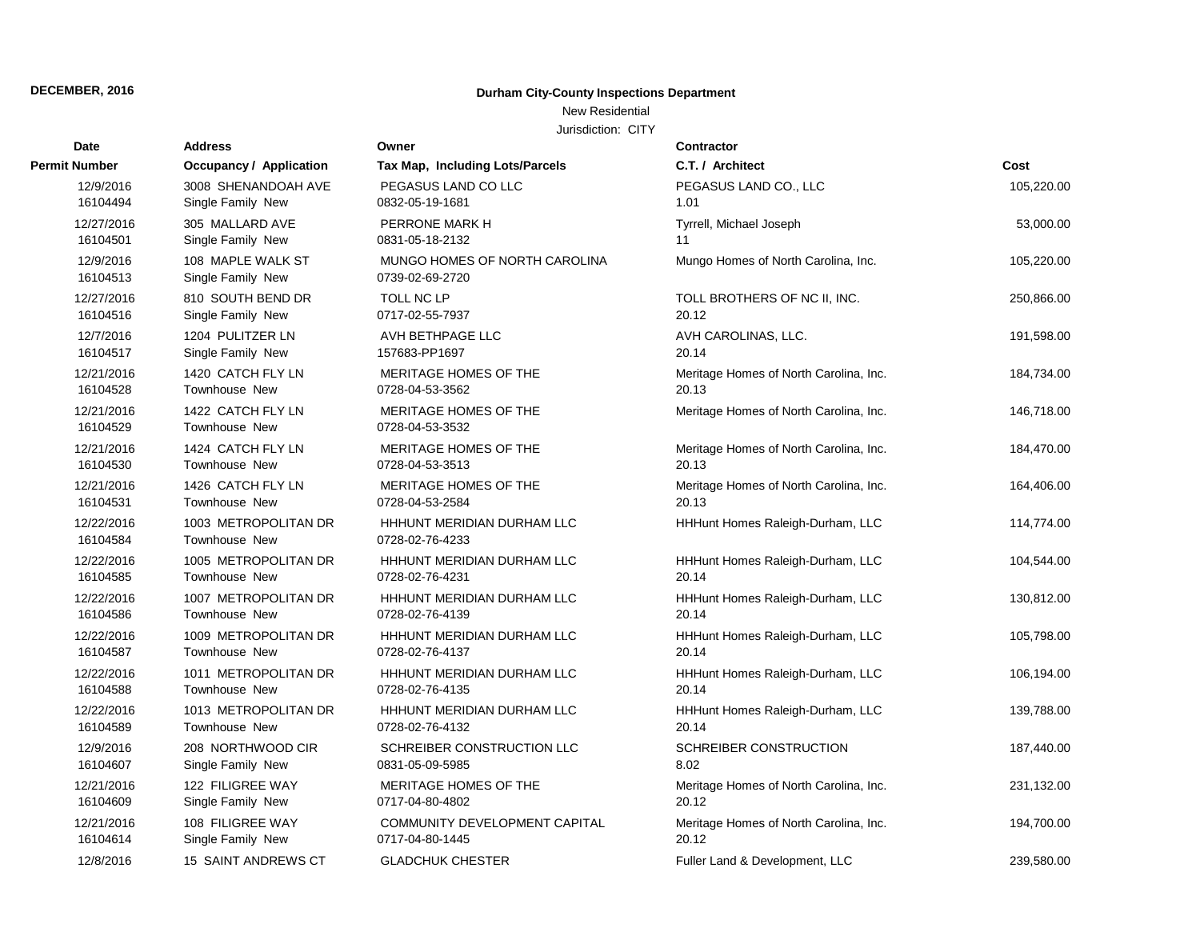# **Durham City-County Inspections Department**

### New Residential

| <b>Date</b>            | <b>Address</b>                         | Owner                                            | Contractor                             |            |
|------------------------|----------------------------------------|--------------------------------------------------|----------------------------------------|------------|
| <b>Permit Number</b>   | <b>Occupancy / Application</b>         | Tax Map, Including Lots/Parcels                  | C.T. / Architect                       | Cost       |
| 12/9/2016              | 3008 SHENANDOAH AVE                    | PEGASUS LAND CO LLC                              | PEGASUS LAND CO., LLC                  | 105,220.00 |
| 16104494               | Single Family New                      | 0832-05-19-1681                                  | 1.01                                   |            |
| 12/27/2016             | 305 MALLARD AVE                        | PERRONE MARK H                                   | Tyrrell, Michael Joseph                | 53,000.00  |
| 16104501               | Single Family New                      | 0831-05-18-2132                                  | 11                                     |            |
| 12/9/2016<br>16104513  | 108 MAPLE WALK ST<br>Single Family New | MUNGO HOMES OF NORTH CAROLINA<br>0739-02-69-2720 | Mungo Homes of North Carolina, Inc.    | 105,220.00 |
| 12/27/2016             | 810 SOUTH BEND DR                      | TOLL NC LP                                       | TOLL BROTHERS OF NC II, INC.           | 250,866.00 |
| 16104516               | Single Family New                      | 0717-02-55-7937                                  | 20.12                                  |            |
| 12/7/2016              | 1204 PULITZER LN                       | AVH BETHPAGE LLC                                 | AVH CAROLINAS, LLC.                    | 191,598.00 |
| 16104517               | Single Family New                      | 157683-PP1697                                    | 20.14                                  |            |
| 12/21/2016             | 1420 CATCH FLY LN                      | MERITAGE HOMES OF THE                            | Meritage Homes of North Carolina, Inc. | 184,734.00 |
| 16104528               | Townhouse New                          | 0728-04-53-3562                                  | 20.13                                  |            |
| 12/21/2016<br>16104529 | 1422 CATCH FLY LN<br>Townhouse New     | MERITAGE HOMES OF THE<br>0728-04-53-3532         | Meritage Homes of North Carolina, Inc. | 146,718.00 |
| 12/21/2016             | 1424 CATCH FLY LN                      | MERITAGE HOMES OF THE                            | Meritage Homes of North Carolina, Inc. | 184,470.00 |
| 16104530               | Townhouse New                          | 0728-04-53-3513                                  | 20.13                                  |            |
| 12/21/2016             | 1426 CATCH FLY LN                      | MERITAGE HOMES OF THE                            | Meritage Homes of North Carolina, Inc. | 164,406.00 |
| 16104531               | <b>Townhouse New</b>                   | 0728-04-53-2584                                  | 20.13                                  |            |
| 12/22/2016<br>16104584 | 1003 METROPOLITAN DR<br>Townhouse New  | HHHUNT MERIDIAN DURHAM LLC<br>0728-02-76-4233    | HHHunt Homes Raleigh-Durham, LLC       | 114,774.00 |
| 12/22/2016             | 1005 METROPOLITAN DR                   | HHHUNT MERIDIAN DURHAM LLC                       | HHHunt Homes Raleigh-Durham, LLC       | 104,544.00 |
| 16104585               | Townhouse New                          | 0728-02-76-4231                                  | 20.14                                  |            |
| 12/22/2016             | 1007 METROPOLITAN DR                   | HHHUNT MERIDIAN DURHAM LLC                       | HHHunt Homes Raleigh-Durham, LLC       | 130,812.00 |
| 16104586               | Townhouse New                          | 0728-02-76-4139                                  | 20.14                                  |            |
| 12/22/2016             | 1009 METROPOLITAN DR                   | HHHUNT MERIDIAN DURHAM LLC                       | HHHunt Homes Raleigh-Durham, LLC       | 105,798.00 |
| 16104587               | Townhouse New                          | 0728-02-76-4137                                  | 20.14                                  |            |
| 12/22/2016             | 1011 METROPOLITAN DR                   | HHHUNT MERIDIAN DURHAM LLC                       | HHHunt Homes Raleigh-Durham, LLC       | 106,194.00 |
| 16104588               | Townhouse New                          | 0728-02-76-4135                                  | 20.14                                  |            |
| 12/22/2016             | 1013 METROPOLITAN DR                   | HHHUNT MERIDIAN DURHAM LLC                       | HHHunt Homes Raleigh-Durham, LLC       | 139,788.00 |
| 16104589               | <b>Townhouse New</b>                   | 0728-02-76-4132                                  | 20.14                                  |            |
| 12/9/2016              | 208 NORTHWOOD CIR                      | SCHREIBER CONSTRUCTION LLC                       | SCHREIBER CONSTRUCTION                 | 187,440.00 |
| 16104607               | Single Family New                      | 0831-05-09-5985                                  | 8.02                                   |            |
| 12/21/2016             | 122 FILIGREE WAY                       | MERITAGE HOMES OF THE                            | Meritage Homes of North Carolina, Inc. | 231,132.00 |
| 16104609               | Single Family New                      | 0717-04-80-4802                                  | 20.12                                  |            |
| 12/21/2016             | 108 FILIGREE WAY                       | COMMUNITY DEVELOPMENT CAPITAL                    | Meritage Homes of North Carolina, Inc. | 194,700.00 |
| 16104614               | Single Family New                      | 0717-04-80-1445                                  | 20.12                                  |            |
| 12/8/2016              | 15 SAINT ANDREWS CT                    | <b>GLADCHUK CHESTER</b>                          | Fuller Land & Development, LLC         | 239,580.00 |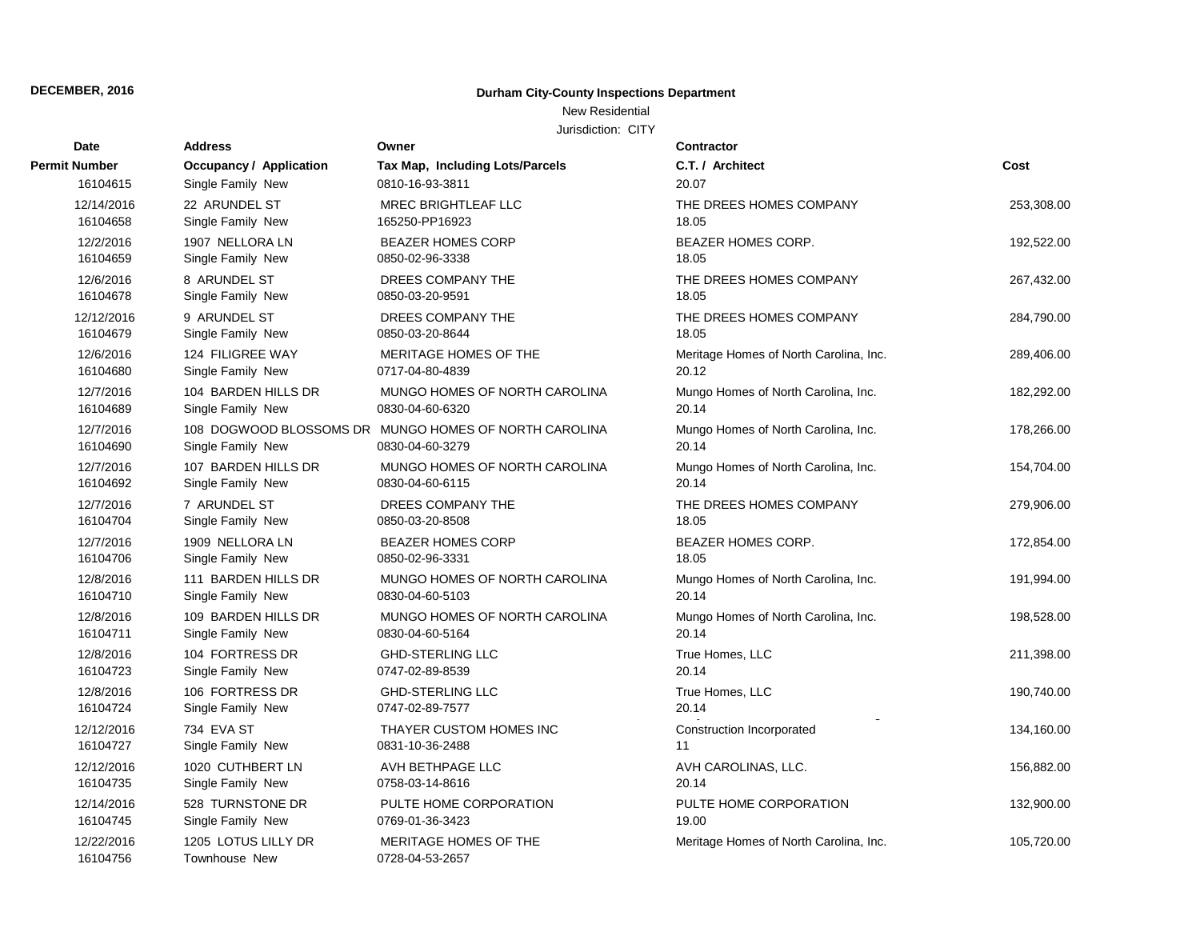# **Durham City-County Inspections Department**

### New Residential

| Date                   | <b>Address</b>                           | Owner                                                                    | Contractor                                      |            |
|------------------------|------------------------------------------|--------------------------------------------------------------------------|-------------------------------------------------|------------|
| <b>Permit Number</b>   | <b>Occupancy / Application</b>           | Tax Map, Including Lots/Parcels                                          | C.T. / Architect                                | Cost       |
| 16104615               | Single Family New                        | 0810-16-93-3811                                                          | 20.07                                           |            |
| 12/14/2016<br>16104658 | 22 ARUNDEL ST<br>Single Family New       | <b>MREC BRIGHTLEAF LLC</b><br>165250-PP16923                             | THE DREES HOMES COMPANY<br>18.05                | 253,308.00 |
| 12/2/2016<br>16104659  | 1907 NELLORA LN<br>Single Family New     | <b>BEAZER HOMES CORP</b><br>0850-02-96-3338                              | <b>BEAZER HOMES CORP.</b><br>18.05              | 192,522.00 |
| 12/6/2016<br>16104678  | 8 ARUNDEL ST<br>Single Family New        | DREES COMPANY THE<br>0850-03-20-9591                                     | THE DREES HOMES COMPANY<br>18.05                | 267,432.00 |
| 12/12/2016<br>16104679 | 9 ARUNDEL ST<br>Single Family New        | DREES COMPANY THE<br>0850-03-20-8644                                     | THE DREES HOMES COMPANY<br>18.05                | 284,790.00 |
| 12/6/2016<br>16104680  | 124 FILIGREE WAY<br>Single Family New    | MERITAGE HOMES OF THE<br>0717-04-80-4839                                 | Meritage Homes of North Carolina, Inc.<br>20.12 | 289,406.00 |
| 12/7/2016<br>16104689  | 104 BARDEN HILLS DR<br>Single Family New | MUNGO HOMES OF NORTH CAROLINA<br>0830-04-60-6320                         | Mungo Homes of North Carolina, Inc.<br>20.14    | 182,292.00 |
| 12/7/2016<br>16104690  | Single Family New                        | 108 DOGWOOD BLOSSOMS DR MUNGO HOMES OF NORTH CAROLINA<br>0830-04-60-3279 | Mungo Homes of North Carolina, Inc.<br>20.14    | 178,266.00 |
| 12/7/2016<br>16104692  | 107 BARDEN HILLS DR<br>Single Family New | MUNGO HOMES OF NORTH CAROLINA<br>0830-04-60-6115                         | Mungo Homes of North Carolina, Inc.<br>20.14    | 154,704.00 |
| 12/7/2016<br>16104704  | 7 ARUNDEL ST<br>Single Family New        | DREES COMPANY THE<br>0850-03-20-8508                                     | THE DREES HOMES COMPANY<br>18.05                | 279,906.00 |
| 12/7/2016<br>16104706  | 1909 NELLORA LN<br>Single Family New     | <b>BEAZER HOMES CORP</b><br>0850-02-96-3331                              | <b>BEAZER HOMES CORP.</b><br>18.05              | 172,854.00 |
| 12/8/2016<br>16104710  | 111 BARDEN HILLS DR<br>Single Family New | MUNGO HOMES OF NORTH CAROLINA<br>0830-04-60-5103                         | Mungo Homes of North Carolina, Inc.<br>20.14    | 191,994.00 |
| 12/8/2016<br>16104711  | 109 BARDEN HILLS DR<br>Single Family New | MUNGO HOMES OF NORTH CAROLINA<br>0830-04-60-5164                         | Mungo Homes of North Carolina, Inc.<br>20.14    | 198,528.00 |
| 12/8/2016<br>16104723  | 104 FORTRESS DR<br>Single Family New     | <b>GHD-STERLING LLC</b><br>0747-02-89-8539                               | True Homes, LLC<br>20.14                        | 211,398.00 |
| 12/8/2016<br>16104724  | 106 FORTRESS DR<br>Single Family New     | <b>GHD-STERLING LLC</b><br>0747-02-89-7577                               | True Homes, LLC<br>20.14                        | 190,740.00 |
| 12/12/2016<br>16104727 | 734 EVA ST<br>Single Family New          | THAYER CUSTOM HOMES INC<br>0831-10-36-2488                               | Construction Incorporated<br>11                 | 134,160.00 |
| 12/12/2016<br>16104735 | 1020 CUTHBERT LN<br>Single Family New    | AVH BETHPAGE LLC<br>0758-03-14-8616                                      | AVH CAROLINAS, LLC.<br>20.14                    | 156,882.00 |
| 12/14/2016<br>16104745 | 528 TURNSTONE DR<br>Single Family New    | PULTE HOME CORPORATION<br>0769-01-36-3423                                | PULTE HOME CORPORATION<br>19.00                 | 132,900.00 |
| 12/22/2016<br>16104756 | 1205 LOTUS LILLY DR<br>Townhouse New     | MERITAGE HOMES OF THE<br>0728-04-53-2657                                 | Meritage Homes of North Carolina, Inc.          | 105,720.00 |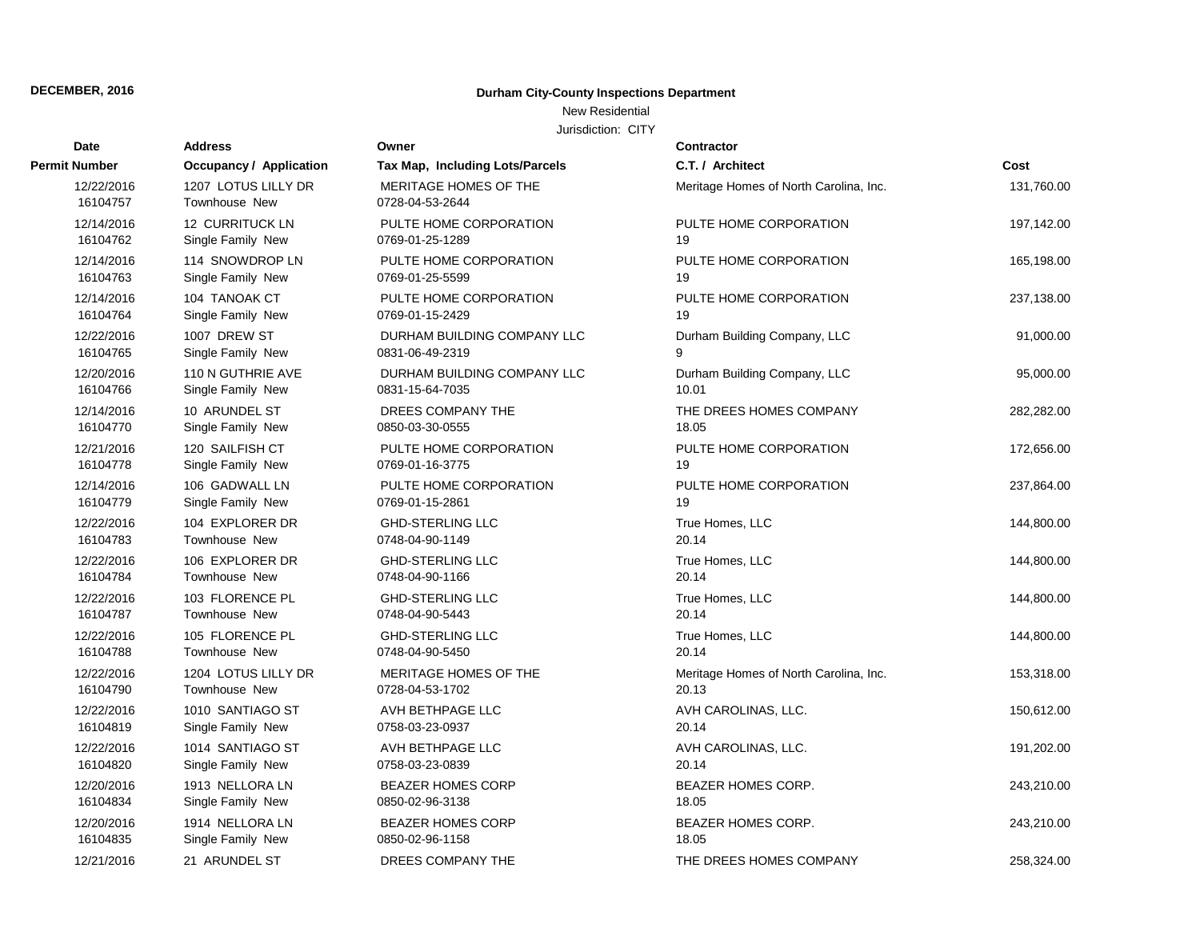# **Durham City-County Inspections Department**

### New Residential

| <b>Date</b>            | <b>Address</b>                       | Owner                                    | <b>Contractor</b>                      |            |
|------------------------|--------------------------------------|------------------------------------------|----------------------------------------|------------|
| <b>Permit Number</b>   | Occupancy / Application              | Tax Map, Including Lots/Parcels          | C.T. / Architect                       | Cost       |
| 12/22/2016<br>16104757 | 1207 LOTUS LILLY DR<br>Townhouse New | MERITAGE HOMES OF THE<br>0728-04-53-2644 | Meritage Homes of North Carolina, Inc. | 131,760.00 |
| 12/14/2016             | 12 CURRITUCK LN                      | PULTE HOME CORPORATION                   | PULTE HOME CORPORATION                 | 197,142.00 |
| 16104762               | Single Family New                    | 0769-01-25-1289                          | 19                                     |            |
| 12/14/2016             | 114 SNOWDROP LN                      | PULTE HOME CORPORATION                   | PULTE HOME CORPORATION                 | 165,198.00 |
| 16104763               | Single Family New                    | 0769-01-25-5599                          | 19                                     |            |
| 12/14/2016             | 104 TANOAK CT                        | PULTE HOME CORPORATION                   | PULTE HOME CORPORATION                 | 237,138.00 |
| 16104764               | Single Family New                    | 0769-01-15-2429                          | 19                                     |            |
| 12/22/2016             | 1007 DREW ST                         | DURHAM BUILDING COMPANY LLC              | Durham Building Company, LLC           | 91,000.00  |
| 16104765               | Single Family New                    | 0831-06-49-2319                          | 9                                      |            |
| 12/20/2016             | 110 N GUTHRIE AVE                    | DURHAM BUILDING COMPANY LLC              | Durham Building Company, LLC           | 95,000.00  |
| 16104766               | Single Family New                    | 0831-15-64-7035                          | 10.01                                  |            |
| 12/14/2016             | 10 ARUNDEL ST                        | DREES COMPANY THE                        | THE DREES HOMES COMPANY                | 282,282.00 |
| 16104770               | Single Family New                    | 0850-03-30-0555                          | 18.05                                  |            |
| 12/21/2016             | 120 SAILFISH CT                      | PULTE HOME CORPORATION                   | PULTE HOME CORPORATION                 | 172,656.00 |
| 16104778               | Single Family New                    | 0769-01-16-3775                          | 19                                     |            |
| 12/14/2016             | 106 GADWALL LN                       | PULTE HOME CORPORATION                   | PULTE HOME CORPORATION                 | 237,864.00 |
| 16104779               | Single Family New                    | 0769-01-15-2861                          | 19                                     |            |
| 12/22/2016             | 104 EXPLORER DR                      | <b>GHD-STERLING LLC</b>                  | True Homes, LLC                        | 144,800.00 |
| 16104783               | <b>Townhouse New</b>                 | 0748-04-90-1149                          | 20.14                                  |            |
| 12/22/2016             | 106 EXPLORER DR                      | <b>GHD-STERLING LLC</b>                  | True Homes, LLC                        | 144,800.00 |
| 16104784               | Townhouse New                        | 0748-04-90-1166                          | 20.14                                  |            |
| 12/22/2016             | 103 FLORENCE PL                      | <b>GHD-STERLING LLC</b>                  | True Homes, LLC                        | 144,800.00 |
| 16104787               | Townhouse New                        | 0748-04-90-5443                          | 20.14                                  |            |
| 12/22/2016             | 105 FLORENCE PL                      | <b>GHD-STERLING LLC</b>                  | True Homes, LLC                        | 144,800.00 |
| 16104788               | <b>Townhouse New</b>                 | 0748-04-90-5450                          | 20.14                                  |            |
| 12/22/2016             | 1204 LOTUS LILLY DR                  | MERITAGE HOMES OF THE                    | Meritage Homes of North Carolina, Inc. | 153,318.00 |
| 16104790               | Townhouse New                        | 0728-04-53-1702                          | 20.13                                  |            |
| 12/22/2016             | 1010 SANTIAGO ST                     | AVH BETHPAGE LLC                         | AVH CAROLINAS, LLC.                    | 150,612.00 |
| 16104819               | Single Family New                    | 0758-03-23-0937                          | 20.14                                  |            |
| 12/22/2016             | 1014 SANTIAGO ST                     | AVH BETHPAGE LLC                         | AVH CAROLINAS, LLC.                    | 191,202.00 |
| 16104820               | Single Family New                    | 0758-03-23-0839                          | 20.14                                  |            |
| 12/20/2016             | 1913 NELLORA LN                      | <b>BEAZER HOMES CORP</b>                 | <b>BEAZER HOMES CORP.</b>              | 243,210.00 |
| 16104834               | Single Family New                    | 0850-02-96-3138                          | 18.05                                  |            |
| 12/20/2016             | 1914 NELLORA LN                      | <b>BEAZER HOMES CORP</b>                 | BEAZER HOMES CORP.                     | 243,210.00 |
| 16104835               | Single Family New                    | 0850-02-96-1158                          | 18.05                                  |            |
| 12/21/2016             | 21 ARUNDEL ST                        | DREES COMPANY THE                        | THE DREES HOMES COMPANY                | 258,324.00 |